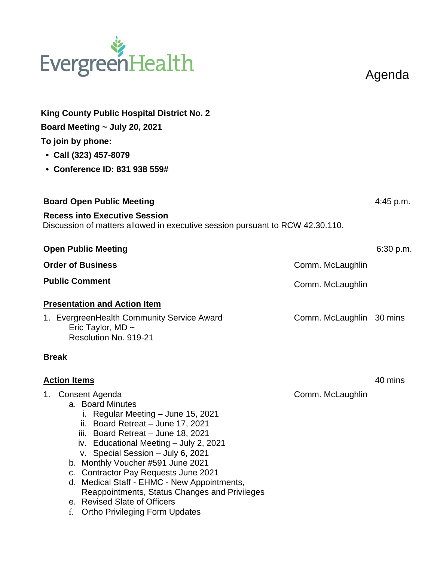# EvergreenHealth

Agenda

| <b>King County Public Hospital District No. 2</b><br>Board Meeting ~ July 20, 2021<br>To join by phone:<br>• Call (323) 457-8079<br>• Conference ID: 831 938 559#                                                                                                                                                                                                                                                                                                                                                 |                          |           |
|-------------------------------------------------------------------------------------------------------------------------------------------------------------------------------------------------------------------------------------------------------------------------------------------------------------------------------------------------------------------------------------------------------------------------------------------------------------------------------------------------------------------|--------------------------|-----------|
| <b>Board Open Public Meeting</b>                                                                                                                                                                                                                                                                                                                                                                                                                                                                                  |                          | 4:45 p.m. |
| <b>Recess into Executive Session</b><br>Discussion of matters allowed in executive session pursuant to RCW 42.30.110.                                                                                                                                                                                                                                                                                                                                                                                             |                          |           |
| <b>Open Public Meeting</b>                                                                                                                                                                                                                                                                                                                                                                                                                                                                                        |                          | 6:30 p.m. |
| <b>Order of Business</b>                                                                                                                                                                                                                                                                                                                                                                                                                                                                                          | Comm. McLaughlin         |           |
| <b>Public Comment</b>                                                                                                                                                                                                                                                                                                                                                                                                                                                                                             | Comm. McLaughlin         |           |
| <b>Presentation and Action Item</b>                                                                                                                                                                                                                                                                                                                                                                                                                                                                               |                          |           |
| 1. EvergreenHealth Community Service Award<br>Eric Taylor, MD $\sim$<br>Resolution No. 919-21                                                                                                                                                                                                                                                                                                                                                                                                                     | Comm. McLaughlin 30 mins |           |
| <b>Break</b>                                                                                                                                                                                                                                                                                                                                                                                                                                                                                                      |                          |           |
| <b>Action Items</b>                                                                                                                                                                                                                                                                                                                                                                                                                                                                                               |                          | 40 mins   |
| 1. Consent Agenda<br>a. Board Minutes<br>i. Regular Meeting - June 15, 2021<br>Board Retreat - June 17, 2021<br>ii.<br>Board Retreat - June 18, 2021<br>iii.<br>iv. Educational Meeting - July 2, 2021<br>v. Special Session - July 6, 2021<br>b. Monthly Voucher #591 June 2021<br><b>Contractor Pay Requests June 2021</b><br>C.<br>d. Medical Staff - EHMC - New Appointments,<br>Reappointments, Status Changes and Privileges<br>e. Revised Slate of Officers<br><b>Ortho Privileging Form Updates</b><br>f. | Comm. McLaughlin         |           |